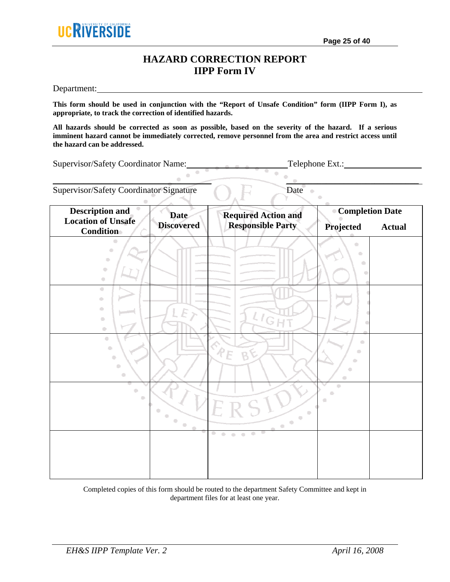## **HAZARD CORRECTION REPORT IIPP Form IV**

Department:

**This form should be used in conjunction with the "Report of Unsafe Condition" form (IIPP Form I), as appropriate, to track the correction of identified hazards.** 

**All hazards should be corrected as soon as possible, based on the severity of the hazard. If a serious imminent hazard cannot be immediately corrected, remove personnel from the area and restrict access until the hazard can be addressed.** 

 $\blacksquare$ 

 $\sim$ 

Supervisor/Safety Coordinator Name: Telephone Ext.:

Supervisor/Safety Coordinator Signature Date

| <b>Description and</b><br><b>Location of Unsafe</b>                                        | <b>Date</b><br><b>Discovered</b>                                   | <b>Required Action and</b><br><b>Responsible Party</b>                                                                                                                                      | <b>Completion Date</b>         |               |
|--------------------------------------------------------------------------------------------|--------------------------------------------------------------------|---------------------------------------------------------------------------------------------------------------------------------------------------------------------------------------------|--------------------------------|---------------|
| Condition                                                                                  |                                                                    |                                                                                                                                                                                             | Projected                      | <b>Actual</b> |
| O<br>$\bigcirc$<br>$\Box$<br>$\hskip 4pt \bigcirc$<br>$\hfill \square$                     |                                                                    |                                                                                                                                                                                             | $\bullet$<br>$\bullet$         |               |
| $\bigcirc$<br>$\bigcirc$<br>$\bullet$<br>$\Box$<br>$\Box$                                  | E y                                                                | $l_{\rm G}$                                                                                                                                                                                 |                                |               |
| $\bullet$<br>$\hfill\blacksquare$<br>$\overline{\mathbb{C}}$<br>$\hfill \Box$<br>$\bullet$ |                                                                    | $P_E$<br>B                                                                                                                                                                                  | $\bullet$<br>۰<br>۰<br>۰<br>Ō. |               |
| ۰<br>۰                                                                                     | Q<br>$\langle \cdot \rangle$<br>$\Box$<br>$\bar{\alpha}$<br>$\sim$ | $\begin{array}{c} \begin{array}{c} \begin{array}{c} \begin{array}{c} \end{array} \end{array} \end{array} \end{array} \end{array}$<br>$\blacksquare$<br>$\langle \cdot \rangle$<br>$\bullet$ | ö<br>O                         |               |
|                                                                                            |                                                                    | $\bullet$<br>$\mathbb{C}^*$<br>$\langle \cdot \rangle$<br>$\blacksquare$                                                                                                                    |                                |               |

Completed copies of this form should be routed to the department Safety Committee and kept in department files for at least one year.